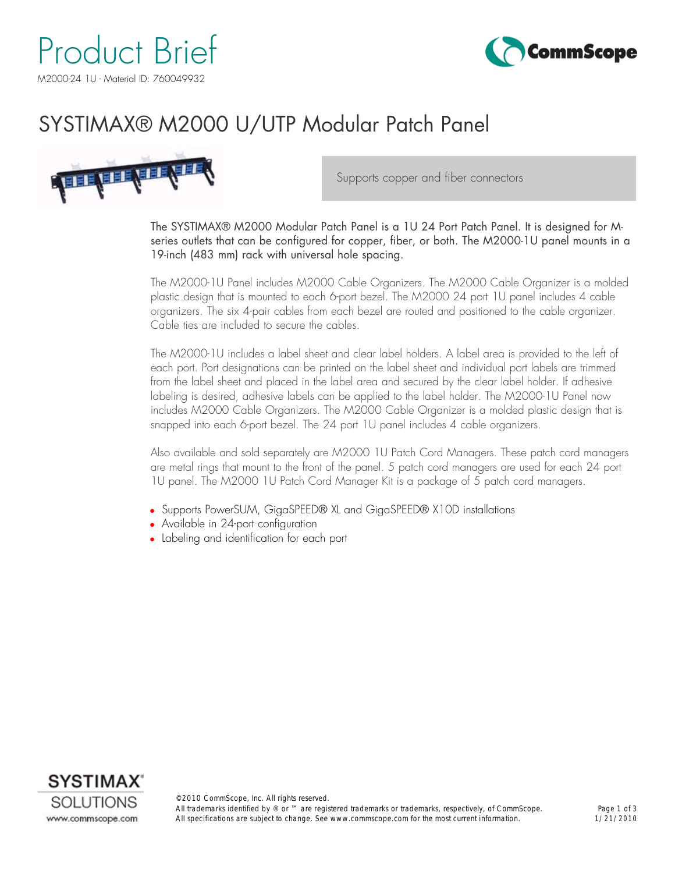



### SYSTIMAX® M2000 U/UTP Modular Patch Panel



Supports copper and fiber connectors

The SYSTIMAX® M2000 Modular Patch Panel is a 1U 24 Port Patch Panel. It is designed for Mseries outlets that can be configured for copper, fiber, or both. The M2000-1U panel mounts in a 19-inch (483 mm) rack with universal hole spacing.

The M2000-1U Panel includes M2000 Cable Organizers. The M2000 Cable Organizer is a molded plastic design that is mounted to each 6-port bezel. The M2000 24 port 1U panel includes 4 cable organizers. The six 4-pair cables from each bezel are routed and positioned to the cable organizer. Cable ties are included to secure the cables.

The M2000-1U includes a label sheet and clear label holders. A label area is provided to the left of each port. Port designations can be printed on the label sheet and individual port labels are trimmed from the label sheet and placed in the label area and secured by the clear label holder. If adhesive labeling is desired, adhesive labels can be applied to the label holder. The M2000-1U Panel now includes M2000 Cable Organizers. The M2000 Cable Organizer is a molded plastic design that is snapped into each 6-port bezel. The 24 port 1U panel includes 4 cable organizers.

Also available and sold separately are M2000 1U Patch Cord Managers. These patch cord managers are metal rings that mount to the front of the panel. 5 patch cord managers are used for each 24 port 1U panel. The M2000 1U Patch Cord Manager Kit is a package of 5 patch cord managers.

- Supports PowerSUM, GigaSPEED® XL and GigaSPEED® X10D installations
- Available in 24-port configuration
- Labeling and identification for each port

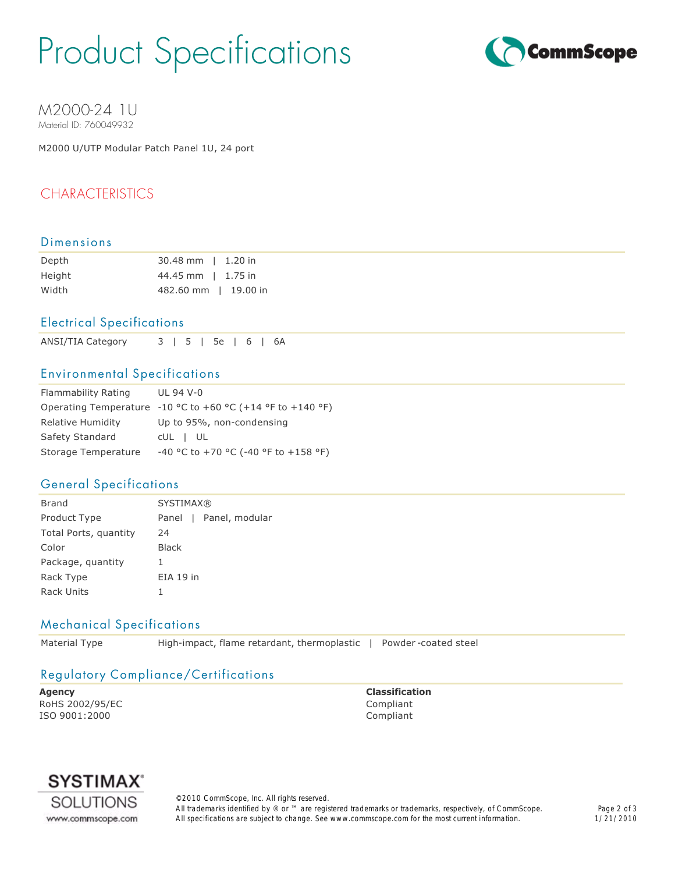## Product Specifications



M2000-24 1U Material ID: 760049932

M2000 U/UTP Modular Patch Panel 1U, 24 port

#### CHARACTERISTICS

#### Dimensions

| Depth  | 30.48 mm   1.20 in   |
|--------|----------------------|
| Height | 44.45 mm   1.75 in   |
| Width  | 482.60 mm   19.00 in |

#### Electrical Specifications

ANSI/TIA Category 3 | 5 | 5e | 6 | 6A

#### Environmental Specifications

| <b>Flammability Rating</b> | UL 94 V-0                                                  |
|----------------------------|------------------------------------------------------------|
|                            | Operating Temperature -10 °C to +60 °C (+14 °F to +140 °F) |
| <b>Relative Humidity</b>   | Up to 95%, non-condensing                                  |
| Safety Standard            | CUL I UL                                                   |
| Storage Temperature        | -40 °C to +70 °C (-40 °F to +158 °F)                       |

#### General Specifications

| Brand                 | <b>SYSTIMAX®</b>       |
|-----------------------|------------------------|
| Product Type          | Panel   Panel, modular |
| Total Ports, quantity | 24                     |
| Color                 | <b>Black</b>           |
| Package, quantity     | ı                      |
| Rack Type             | $EIA$ 19 in            |
| Rack Units            | ı                      |

#### Mechanical Specifications

Material Type **High-impact, flame retardant, thermoplastic** | Powder-coated steel

#### Regulatory Compliance/Certifications

**Agency Classification** RoHS 2002/95/EC Compliant ISO 9001:2000 Compliant



©2010 CommScope, Inc. All rights reserved. All trademarks identified by ® or ™ are registered trademarks or trademarks, respectively, of CommScope. All specifications are subject to change. See www.commscope.com for the most current information.